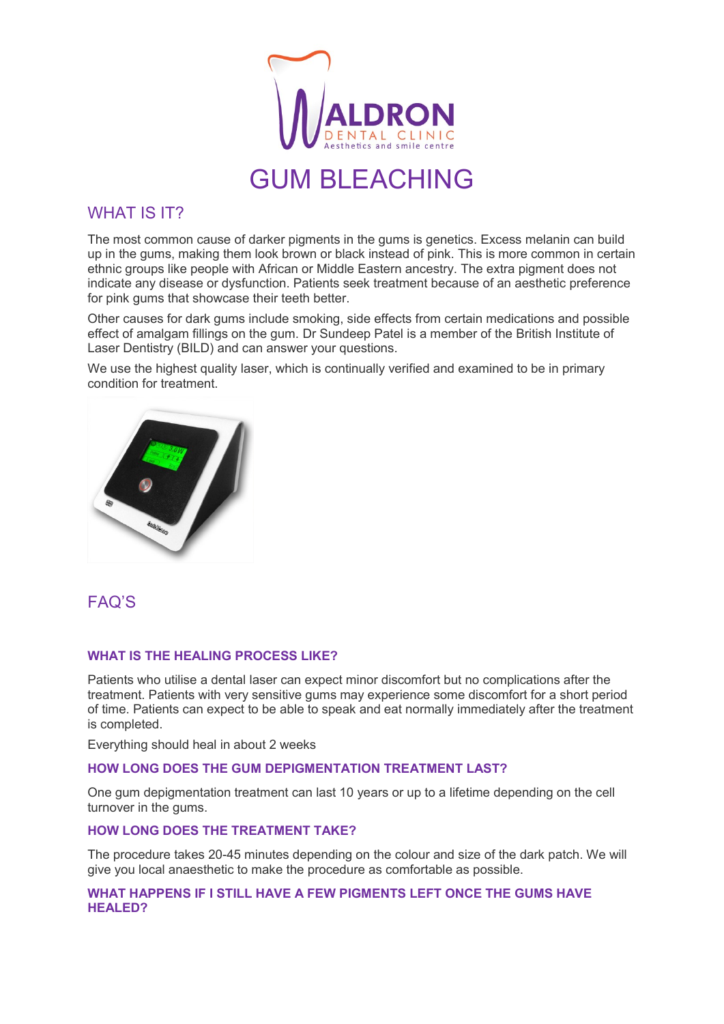

# **GUM BLEACHING**

## WHAT IS **IT?**

The most common cause of darker pigments in the gums is genetics. Excess melanin can build up in the gums, making them look brown or black instead of pink. This is more common in certain ethnic groups like people with African or Middle Eastern ancestry. The extra pigment does not indicate any disease or dysfunction. Patients seek treatment because of an aesthetic preference for pink gums that showcase their teeth better.

Other causes for dark gums include smoking, side effects from certain medications and possible effect of amalgam fillings on the gum. Dr Sundeep Patel is a member of the British Institute of Laser Dentistry (BILD) and can answer your questions.

We use the highest quality laser, which is continually verified and examined to be in primary condition for treatment.



# FAQ'S

#### **WHAT IS THE HEALING PROCESS LIKE?**

Patients who utilise a dental laser can expect minor discomfort but no complications after the treatment. Patients with very sensitive gums may experience some discomfort for a short period of time. Patients can expect to be able to speak and eat normally immediately after the treatment is completed.

Everything should heal in about 2 weeks

#### **HOW LONG DOES THE GUM DEPIGMENTATION TREATMENT LAST?**

One gum depigmentation treatment can last 10 years or up to a lifetime depending on the cell turnover in the gums.

#### **HOW LONG DOES THE TREATMENT TAKE?**

The procedure takes 20-45 minutes depending on the colour and size of the dark patch. We will give you local anaesthetic to make the procedure as comfortable as possible.

#### **WHAT HAPPENS IF I STILL HAVE A FEW PIGMENTS LEFT ONCE THE GUMS HAVE HEALED?**